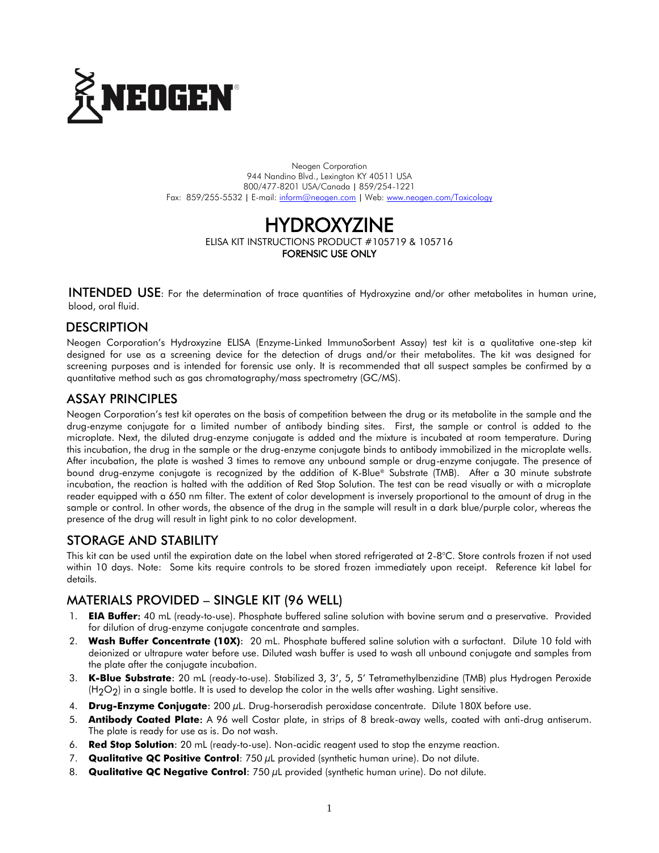

Neogen Corporation 944 Nandino Blvd., Lexington KY 40511 USA 800/477-8201 USA/Canada | 859/254-1221 Fax: 859/255-5532 | E-mail[: inform@neogen.com](mailto:inform@neogen.com) | Web[: www.neogen.com/Toxicology](http://www.neogen.com/Toxicology)

# HYDROXYZINE

ELISA KIT INSTRUCTIONS PRODUCT #105719 & 105716 FORENSIC USE ONLY

INTENDED USE: For the determination of trace quantities of Hydroxyzine and/or other metabolites in human urine, blood, oral fluid.

# **DESCRIPTION**

Neogen Corporation's Hydroxyzine ELISA (Enzyme-Linked ImmunoSorbent Assay) test kit is a qualitative one-step kit designed for use as a screening device for the detection of drugs and/or their metabolites. The kit was designed for screening purposes and is intended for forensic use only. It is recommended that all suspect samples be confirmed by a quantitative method such as gas chromatography/mass spectrometry (GC/MS).

## ASSAY PRINCIPLES

Neogen Corporation's test kit operates on the basis of competition between the drug or its metabolite in the sample and the drug-enzyme conjugate for a limited number of antibody binding sites. First, the sample or control is added to the microplate. Next, the diluted drug-enzyme conjugate is added and the mixture is incubated at room temperature. During this incubation, the drug in the sample or the drug-enzyme conjugate binds to antibody immobilized in the microplate wells. After incubation, the plate is washed 3 times to remove any unbound sample or drug-enzyme conjugate. The presence of bound drug-enzyme conjugate is recognized by the addition of K-Blue® Substrate (TMB). After a 30 minute substrate incubation, the reaction is halted with the addition of Red Stop Solution. The test can be read visually or with a microplate reader equipped with a 650 nm filter. The extent of color development is inversely proportional to the amount of drug in the sample or control. In other words, the absence of the drug in the sample will result in a dark blue/purple color, whereas the presence of the drug will result in light pink to no color development.

## STORAGE AND STABILITY

This kit can be used until the expiration date on the label when stored refrigerated at 2-8°C. Store controls frozen if not used within 10 days. Note: Some kits require controls to be stored frozen immediately upon receipt. Reference kit label for details.

# MATERIALS PROVIDED – SINGLE KIT (96 WELL)

- 1. **EIA Buffer**: 40 mL (ready-to-use). Phosphate buffered saline solution with bovine serum and a preservative. Provided for dilution of drug-enzyme conjugate concentrate and samples.
- 2. **Wash Buffer Concentrate (10X)**: 20 mL. Phosphate buffered saline solution with a surfactant. Dilute 10 fold with deionized or ultrapure water before use. Diluted wash buffer is used to wash all unbound conjugate and samples from the plate after the conjugate incubation.
- 3. **K-Blue Substrate**: 20 mL (ready-to-use). Stabilized 3, 3', 5, 5' Tetramethylbenzidine (TMB) plus Hydrogen Peroxide  $(H<sub>2</sub>O<sub>2</sub>)$  in a single bottle. It is used to develop the color in the wells after washing. Light sensitive.
- 4. **Drug-Enzyme Conjugate**: 200 µL. Drug-horseradish peroxidase concentrate. Dilute 180X before use.
- 5. **Antibody Coated Plate**: A 96 well Costar plate, in strips of 8 break-away wells, coated with anti-drug antiserum. The plate is ready for use as is. Do not wash.
- 6. **Red Stop Solution**: 20 mL (ready-to-use). Non-acidic reagent used to stop the enzyme reaction.
- 7. **Qualitative QC Positive Control**: 750 µL provided (synthetic human urine). Do not dilute.
- 8. **Qualitative QC Negative Control**: 750 µL provided (synthetic human urine). Do not dilute.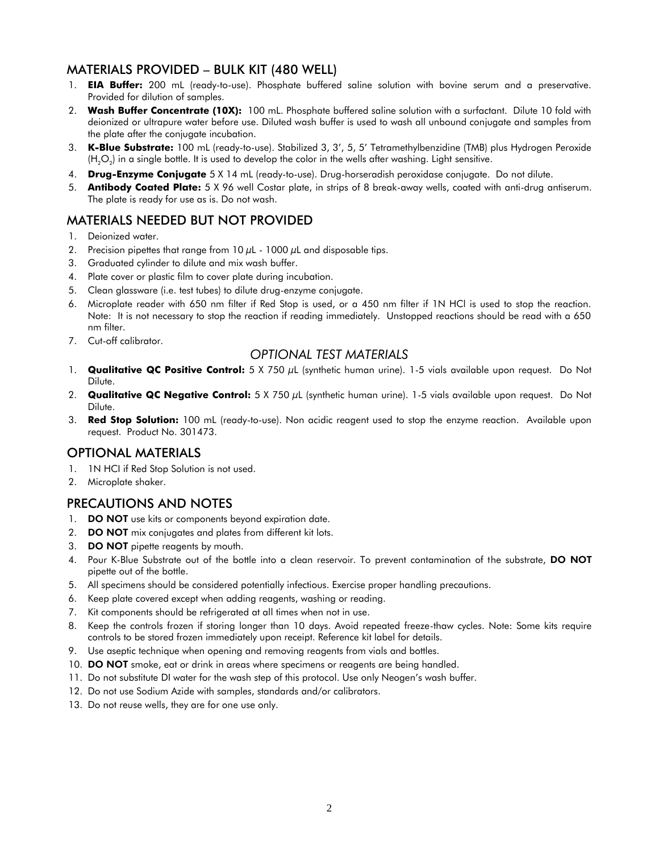## MATERIALS PROVIDED – BULK KIT (480 WELL)

- 1. **EIA Buffer:** 200 mL (ready-to-use). Phosphate buffered saline solution with bovine serum and a preservative. Provided for dilution of samples.
- 2. **Wash Buffer Concentrate (10X):** 100 mL. Phosphate buffered saline solution with a surfactant. Dilute 10 fold with deionized or ultrapure water before use. Diluted wash buffer is used to wash all unbound conjugate and samples from the plate after the conjugate incubation.
- 3. **K-Blue Substrate:** 100 mL (ready-to-use). Stabilized 3, 3', 5, 5' Tetramethylbenzidine (TMB) plus Hydrogen Peroxide (H $_{2}$ O $_{2}$ ) in a single bottle. It is used to develop the color in the wells after washing. Light sensitive.
- 4. **Drug-Enzyme Conjugate** 5 X 14 mL (ready-to-use). Drug-horseradish peroxidase conjugate. Do not dilute.
- 5. **Antibody Coated Plate:** 5 X 96 well Costar plate, in strips of 8 break-away wells, coated with anti-drug antiserum. The plate is ready for use as is. Do not wash.

# MATERIALS NEEDED BUT NOT PROVIDED

- 1. Deionized water.
- 2. Precision pipettes that range from  $10 \mu$ L  $1000 \mu$ L and disposable tips.
- 3. Graduated cylinder to dilute and mix wash buffer.
- 4. Plate cover or plastic film to cover plate during incubation.
- 5. Clean glassware (i.e. test tubes) to dilute drug-enzyme conjugate.
- 6. Microplate reader with 650 nm filter if Red Stop is used, or a 450 nm filter if 1N HCl is used to stop the reaction. Note: It is not necessary to stop the reaction if reading immediately. Unstopped reactions should be read with a 650 nm filter.
- 7. Cut-off calibrator.

#### *OPTIONAL TEST MATERIALS*

- 1. **Qualitative QC Positive Control:** 5 X 750 µL (synthetic human urine). 1-5 vials available upon request. Do Not Dilute.
- 2. **Qualitative QC Negative Control:** 5 X 750 µL (synthetic human urine). 1-5 vials available upon request. Do Not Dilute.
- 3. **Red Stop Solution:** 100 mL (ready-to-use). Non acidic reagent used to stop the enzyme reaction. Available upon request. Product No. 301473.

#### OPTIONAL MATERIALS

- 1. 1N HCI if Red Stop Solution is not used.
- 2. Microplate shaker.

## PRECAUTIONS AND NOTES

- 1. DO NOT use kits or components beyond expiration date.
- 2. **DO NOT** mix conjugates and plates from different kit lots.
- 3. DO NOT pipette reagents by mouth.
- 4. Pour K-Blue Substrate out of the bottle into a clean reservoir. To prevent contamination of the substrate, DO NOT pipette out of the bottle.
- 5. All specimens should be considered potentially infectious. Exercise proper handling precautions.
- 6. Keep plate covered except when adding reagents, washing or reading.
- 7. Kit components should be refrigerated at all times when not in use.
- 8. Keep the controls frozen if storing longer than 10 days. Avoid repeated freeze-thaw cycles. Note: Some kits require controls to be stored frozen immediately upon receipt. Reference kit label for details.
- 9. Use aseptic technique when opening and removing reagents from vials and bottles.
- 10. DO NOT smoke, eat or drink in areas where specimens or reagents are being handled.
- 11. Do not substitute DI water for the wash step of this protocol. Use only Neogen's wash buffer.
- 12. Do not use Sodium Azide with samples, standards and/or calibrators.
- 13. Do not reuse wells, they are for one use only.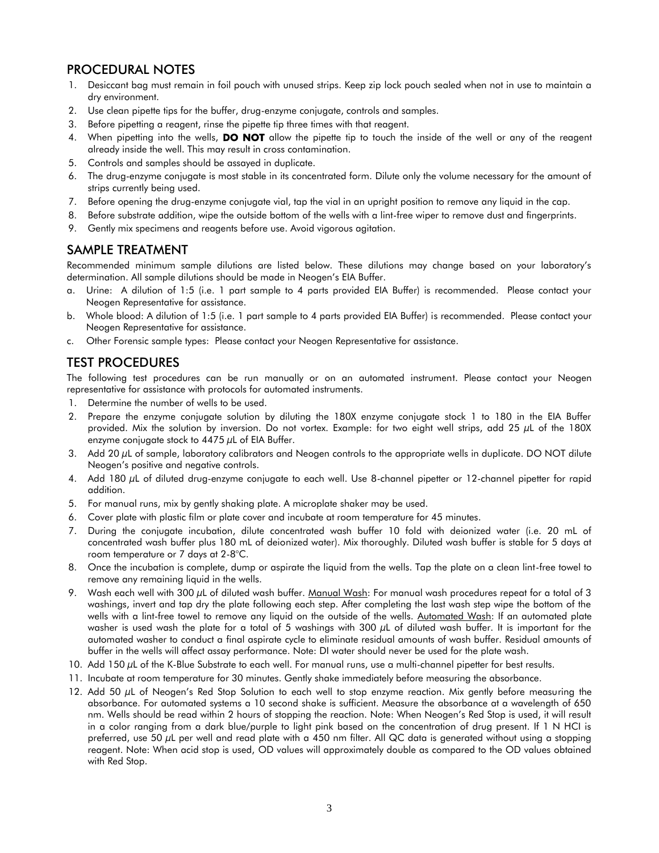## PROCEDURAL NOTES

- 1. Desiccant bag must remain in foil pouch with unused strips. Keep zip lock pouch sealed when not in use to maintain a dry environment.
- 2. Use clean pipette tips for the buffer, drug-enzyme conjugate, controls and samples.
- 3. Before pipetting a reagent, rinse the pipette tip three times with that reagent.
- 4. When pipetting into the wells, **DO NOT** allow the pipette tip to touch the inside of the well or any of the reagent already inside the well. This may result in cross contamination.
- 5. Controls and samples should be assayed in duplicate.
- 6. The drug-enzyme conjugate is most stable in its concentrated form. Dilute only the volume necessary for the amount of strips currently being used.
- 7. Before opening the drug-enzyme conjugate vial, tap the vial in an upright position to remove any liquid in the cap.
- 8. Before substrate addition, wipe the outside bottom of the wells with a lint-free wiper to remove dust and fingerprints.
- 9. Gently mix specimens and reagents before use. Avoid vigorous agitation.

#### SAMPLE TREATMENT

Recommended minimum sample dilutions are listed below. These dilutions may change based on your laboratory's determination. All sample dilutions should be made in Neogen's EIA Buffer.

- a. Urine: A dilution of 1:5 (i.e. 1 part sample to 4 parts provided EIA Buffer) is recommended. Please contact your Neogen Representative for assistance.
- b. Whole blood: A dilution of 1:5 (i.e. 1 part sample to 4 parts provided EIA Buffer) is recommended. Please contact your Neogen Representative for assistance.
- c. Other Forensic sample types: Please contact your Neogen Representative for assistance.

# TEST PROCEDURES

The following test procedures can be run manually or on an automated instrument. Please contact your Neogen representative for assistance with protocols for automated instruments.

- 1. Determine the number of wells to be used.
- 2. Prepare the enzyme conjugate solution by diluting the 180X enzyme conjugate stock 1 to 180 in the EIA Buffer provided. Mix the solution by inversion. Do not vortex. Example: for two eight well strips, add 25 µL of the 180X enzyme conjugate stock to  $4475 \mu L$  of EIA Buffer.
- 3. Add 20 µL of sample, laboratory calibrators and Neogen controls to the appropriate wells in duplicate. DO NOT dilute Neogen's positive and negative controls.
- 4. Add 180 µL of diluted drug-enzyme conjugate to each well. Use 8-channel pipetter or 12-channel pipetter for rapid addition.
- 5. For manual runs, mix by gently shaking plate. A microplate shaker may be used.
- 6. Cover plate with plastic film or plate cover and incubate at room temperature for 45 minutes.
- 7. During the conjugate incubation, dilute concentrated wash buffer 10 fold with deionized water (i.e. 20 mL of concentrated wash buffer plus 180 mL of deionized water). Mix thoroughly. Diluted wash buffer is stable for 5 days at room temperature or 7 days at 2-8°C.
- 8. Once the incubation is complete, dump or aspirate the liquid from the wells. Tap the plate on a clean lint-free towel to remove any remaining liquid in the wells.
- 9. Wash each well with 300 µL of diluted wash buffer. Manual Wash: For manual wash procedures repeat for a total of 3 washings, invert and tap dry the plate following each step. After completing the last wash step wipe the bottom of the wells with a lint-free towel to remove any liquid on the outside of the wells. Automated Wash: If an automated plate washer is used wash the plate for a total of 5 washings with 300  $\mu$ L of diluted wash buffer. It is important for the automated washer to conduct a final aspirate cycle to eliminate residual amounts of wash buffer. Residual amounts of buffer in the wells will affect assay performance. Note: DI water should never be used for the plate wash.
- 10. Add 150  $\mu$ L of the K-Blue Substrate to each well. For manual runs, use a multi-channel pipetter for best results.
- 11. Incubate at room temperature for 30 minutes. Gently shake immediately before measuring the absorbance.
- 12. Add 50 µL of Neogen's Red Stop Solution to each well to stop enzyme reaction. Mix gently before measuring the absorbance. For automated systems a 10 second shake is sufficient. Measure the absorbance at a wavelength of 650 nm. Wells should be read within 2 hours of stopping the reaction. Note: When Neogen's Red Stop is used, it will result in a color ranging from a dark blue/purple to light pink based on the concentration of drug present. If 1 N HCI is preferred, use 50 µL per well and read plate with a 450 nm filter. All QC data is generated without using a stopping reagent. Note: When acid stop is used, OD values will approximately double as compared to the OD values obtained with Red Stop.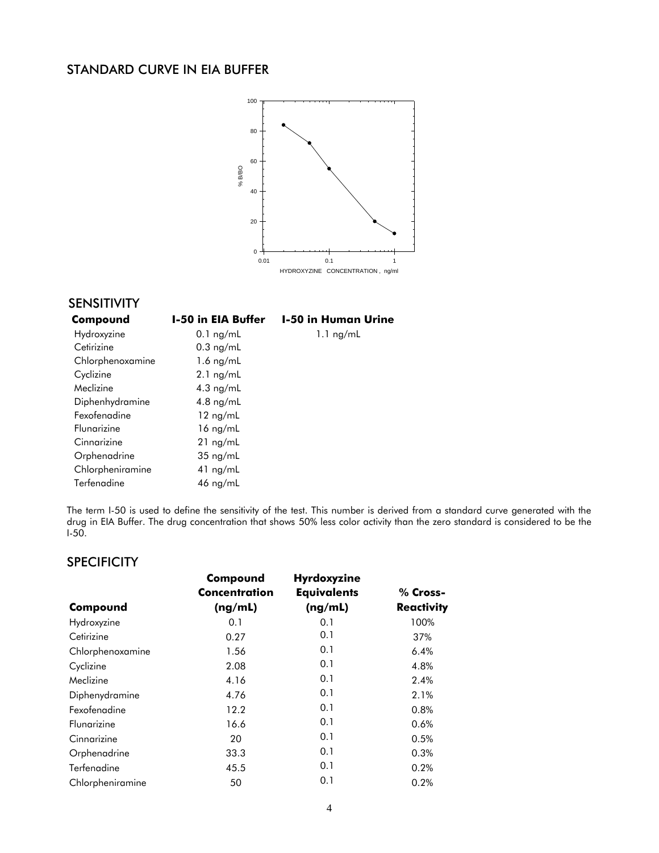## STANDARD CURVE IN EIA BUFFER



# SENSITIVITY

| Compound         | <b>I-50 in EIA Buffer</b> | <b>I-50 in Human Urine</b> |
|------------------|---------------------------|----------------------------|
| Hydroxyzine      | $0.1$ ng/mL               | $1.1$ ng/mL                |
| Cetirizine       | $0.3$ ng/mL               |                            |
| Chlorphenoxamine | $1.6$ ng/mL               |                            |
| Cyclizine        | $2.1$ ng/mL               |                            |
| Meclizine        | $4.3$ ng/mL               |                            |
| Diphenhydramine  | 4.8 $ng/mL$               |                            |
| Fexofenadine     | $12$ ng/mL                |                            |
| Flungrizine      | $16 \text{ ng/mL}$        |                            |
| Cinnarizine      | $21$ ng/mL                |                            |
| Orphenadrine     | $35 \text{ ng/mL}$        |                            |
| Chlorpheniramine | $41$ ng/mL                |                            |
| Terfenadine      | 46 ng/mL                  |                            |

The term I-50 is used to define the sensitivity of the test. This number is derived from a standard curve generated with the drug in EIA Buffer. The drug concentration that shows 50% less color activity than the zero standard is considered to be the  $I-50$ .

#### **SPECIFICITY**

|                  | Compound             | Hyrdoxyzine        |                   |
|------------------|----------------------|--------------------|-------------------|
|                  | <b>Concentration</b> | <b>Equivalents</b> | % Cross-          |
| Compound         | (ng/mL)              | (ng/mL)            | <b>Reactivity</b> |
| Hydroxyzine      | 0.1                  | 0.1                | 100%              |
| Cetirizine       | 0.27                 | 0.1                | 37%               |
| Chlorphenoxamine | 1.56                 | 0.1                | 6.4%              |
| Cyclizine        | 2.08                 | 0.1                | 4.8%              |
| Meclizine        | 4.16                 | 0.1                | 2.4%              |
| Diphenydramine   | 4.76                 | 0.1                | 2.1%              |
| Fexofenadine     | 12.2                 | 0.1                | 0.8%              |
| Flungrizine      | 16.6                 | 0.1                | 0.6%              |
| Cinnarizine      | 20                   | 0.1                | 0.5%              |
| Orphenadrine     | 33.3                 | 0.1                | 0.3%              |
| Terfenadine      | 45.5                 | 0.1                | 0.2%              |
| Chlorpheniramine | 50                   | 0.1                | 0.2%              |